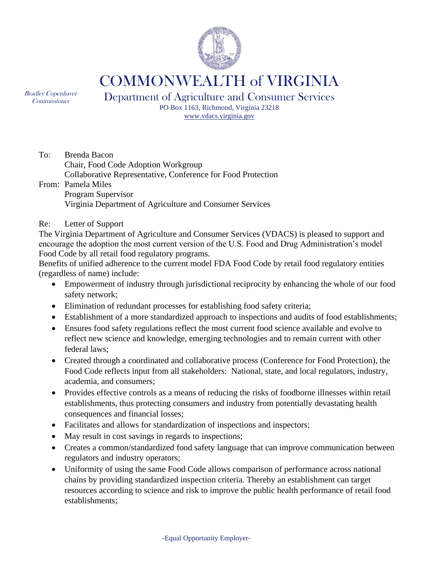

COMMONWEALTH of VIRGINIA

Bradley Copenhaver Commissioner

Department of Agriculture and Consumer Services

PO Box 1163, Richmond, Virginia 23218 [www.vdacs.virginia.gov](http://www.vdacs.virginia.gov/)

To: Brenda Bacon Chair, Food Code Adoption Workgroup Collaborative Representative, Conference for Food Protection From: Pamela Miles Program Supervisor Virginia Department of Agriculture and Consumer Services

Re: Letter of Support

The Virginia Department of Agriculture and Consumer Services (VDACS) is pleased to support and encourage the adoption the most current version of the U.S. Food and Drug Administration's model Food Code by all retail food regulatory programs.

Benefits of unified adherence to the current model FDA Food Code by retail food regulatory entities (regardless of name) include:

- Empowerment of industry through jurisdictional reciprocity by enhancing the whole of our food safety network;
- Elimination of redundant processes for establishing food safety criteria;
- Establishment of a more standardized approach to inspections and audits of food establishments;
- Ensures food safety regulations reflect the most current food science available and evolve to reflect new science and knowledge, emerging technologies and to remain current with other federal laws;
- Created through a coordinated and collaborative process (Conference for Food Protection), the Food Code reflects input from all stakeholders: National, state, and local regulators, industry, academia, and consumers;
- Provides effective controls as a means of reducing the risks of foodborne illnesses within retail establishments, thus protecting consumers and industry from potentially devastating health consequences and financial losses;
- Facilitates and allows for standardization of inspections and inspectors;
- May result in cost savings in regards to inspections;
- Creates a common/standardized food safety language that can improve communication between regulators and industry operators;
- Uniformity of using the same Food Code allows comparison of performance across national chains by providing standardized inspection criteria. Thereby an establishment can target resources according to science and risk to improve the public health performance of retail food establishments;